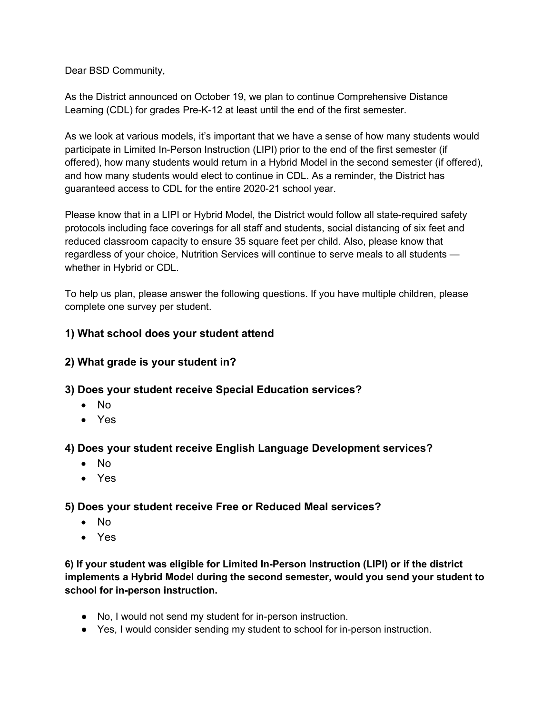Dear BSD Community,

As the District announced on October 19, we plan to continue Comprehensive Distance Learning (CDL) for grades Pre-K-12 at least until the end of the first semester.

As we look at various models, it's important that we have a sense of how many students would participate in Limited In-Person Instruction (LIPI) prior to the end of the first semester (if offered), how many students would return in a Hybrid Model in the second semester (if offered), and how many students would elect to continue in CDL. As a reminder, the District has guaranteed access to CDL for the entire 2020-21 school year.

Please know that in a LIPI or Hybrid Model, the District would follow all state-required safety protocols including face coverings for all staff and students, social distancing of six feet and reduced classroom capacity to ensure 35 square feet per child. Also, please know that regardless of your choice, Nutrition Services will continue to serve meals to all students whether in Hybrid or CDL.

To help us plan, please answer the following questions. If you have multiple children, please complete one survey per student.

# **1) What school does your student attend**

## **2) What grade is your student in?**

#### **3) Does your student receive Special Education services?**

- No
- Yes

#### **4) Does your student receive English Language Development services?**

- No
- Yes

#### **5) Does your student receive Free or Reduced Meal services?**

- No
- Yes

**6) If your student was eligible for Limited In-Person Instruction (LIPI) or if the district implements a Hybrid Model during the second semester, would you send your student to school for in-person instruction.**

- No, I would not send my student for in-person instruction.
- Yes, I would consider sending my student to school for in-person instruction.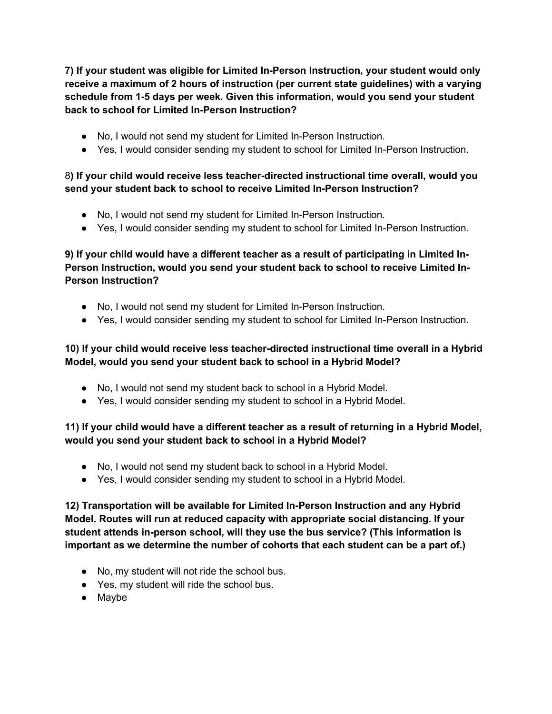**7) If your student was eligible for Limited In-Person Instruction, your student would only receive a maximum of 2 hours of instruction (per current state guidelines) with a varying schedule from 1-5 days per week. Given this information, would you send your student back to school for Limited In-Person Instruction?**

- No, I would not send my student for Limited In-Person Instruction.
- Yes, I would consider sending my student to school for Limited In-Person Instruction.

### 8**) If your child would receive less teacher-directed instructional time overall, would you send your student back to school to receive Limited In-Person Instruction?**

- No, I would not send my student for Limited In-Person Instruction.
- Yes, I would consider sending my student to school for Limited In-Person Instruction.

# **9) If your child would have a different teacher as a result of participating in Limited In-Person Instruction, would you send your student back to school to receive Limited In-Person Instruction?**

- No, I would not send my student for Limited In-Person Instruction.
- Yes, I would consider sending my student to school for Limited In-Person Instruction.

## **10) If your child would receive less teacher-directed instructional time overall in a Hybrid Model, would you send your student back to school in a Hybrid Model?**

- No, I would not send my student back to school in a Hybrid Model.
- Yes, I would consider sending my student to school in a Hybrid Model.

## **11) If your child would have a different teacher as a result of returning in a Hybrid Model, would you send your student back to school in a Hybrid Model?**

- No, I would not send my student back to school in a Hybrid Model.
- Yes, I would consider sending my student to school in a Hybrid Model.

**12) Transportation will be available for Limited In-Person Instruction and any Hybrid Model. Routes will run at reduced capacity with appropriate social distancing. If your student attends in-person school, will they use the bus service? (This information is important as we determine the number of cohorts that each student can be a part of.)** 

- No, my student will not ride the school bus.
- Yes, my student will ride the school bus.
- Maybe